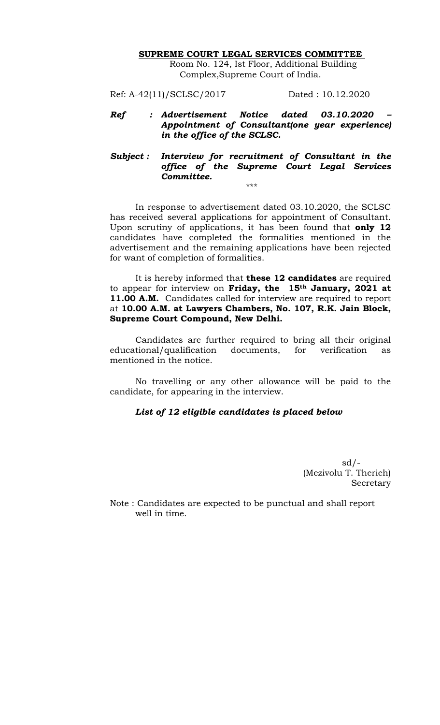## **SUPREME COURT LEGAL SERVICES COMMITTEE**

Room No. 124, Ist Floor, Additional Building Complex,Supreme Court of India.

Ref: A-42(11)/SCLSC/2017 Dated : 10.12.2020

- *Ref : Advertisement Notice dated 03.10.2020 – Appointment of Consultant(one year experience) in the office of the SCLSC.*
- *Subject : Interview for recruitment of Consultant in the office of the Supreme Court Legal Services Committee.*  \*\*\*

In response to advertisement dated 03.10.2020, the SCLSC has received several applications for appointment of Consultant. Upon scrutiny of applications, it has been found that **only 12** candidates have completed the formalities mentioned in the advertisement and the remaining applications have been rejected for want of completion of formalities.

It is hereby informed that **these 12 candidates** are required to appear for interview on **Friday, the 15th January, 2021 at 11.00 A.M.** Candidates called for interview are required to report at **10.00 A.M. at Lawyers Chambers, No. 107, R.K. Jain Block, Supreme Court Compound, New Delhi.** 

Candidates are further required to bring all their original educational/qualification documents, for verification as mentioned in the notice.

No travelling or any other allowance will be paid to the candidate, for appearing in the interview.

## *List of 12 eligible candidates is placed below*

 $sd/-$ (Mezivolu T. Therieh) Secretary

Note : Candidates are expected to be punctual and shall report well in time.